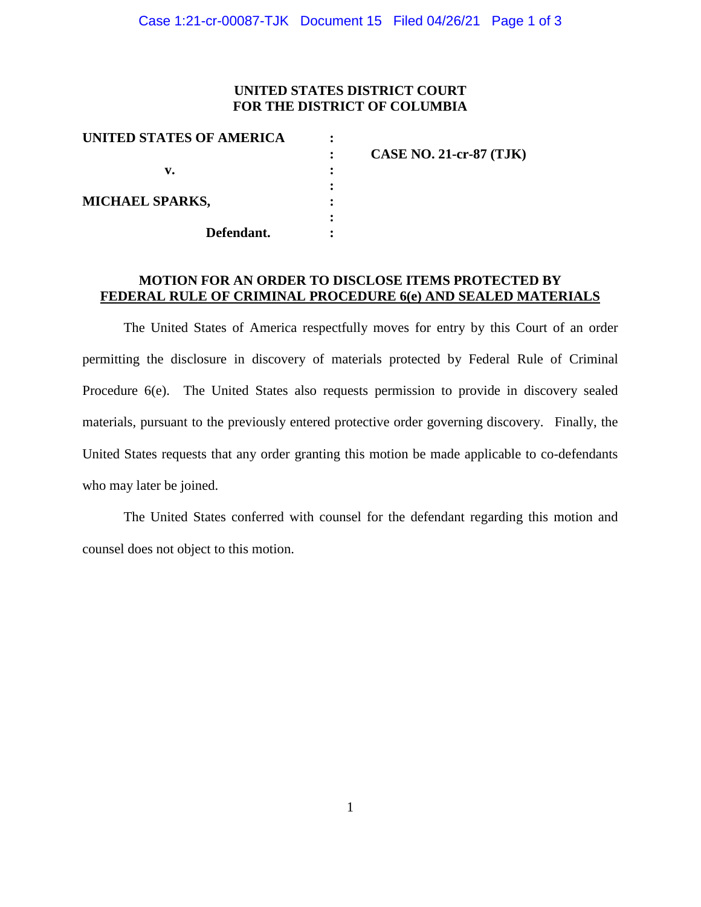## **UNITED STATES DISTRICT COURT FOR THE DISTRICT OF COLUMBIA**

| <b>CASE NO. 21-cr-87 (TJK)</b> |
|--------------------------------|
|                                |
|                                |
|                                |
|                                |
|                                |
|                                |

### **MOTION FOR AN ORDER TO DISCLOSE ITEMS PROTECTED BY FEDERAL RULE OF CRIMINAL PROCEDURE 6(e) AND SEALED MATERIALS**

The United States of America respectfully moves for entry by this Court of an order permitting the disclosure in discovery of materials protected by Federal Rule of Criminal Procedure 6(e). The United States also requests permission to provide in discovery sealed materials, pursuant to the previously entered protective order governing discovery. Finally, the United States requests that any order granting this motion be made applicable to co-defendants who may later be joined.

The United States conferred with counsel for the defendant regarding this motion and counsel does not object to this motion.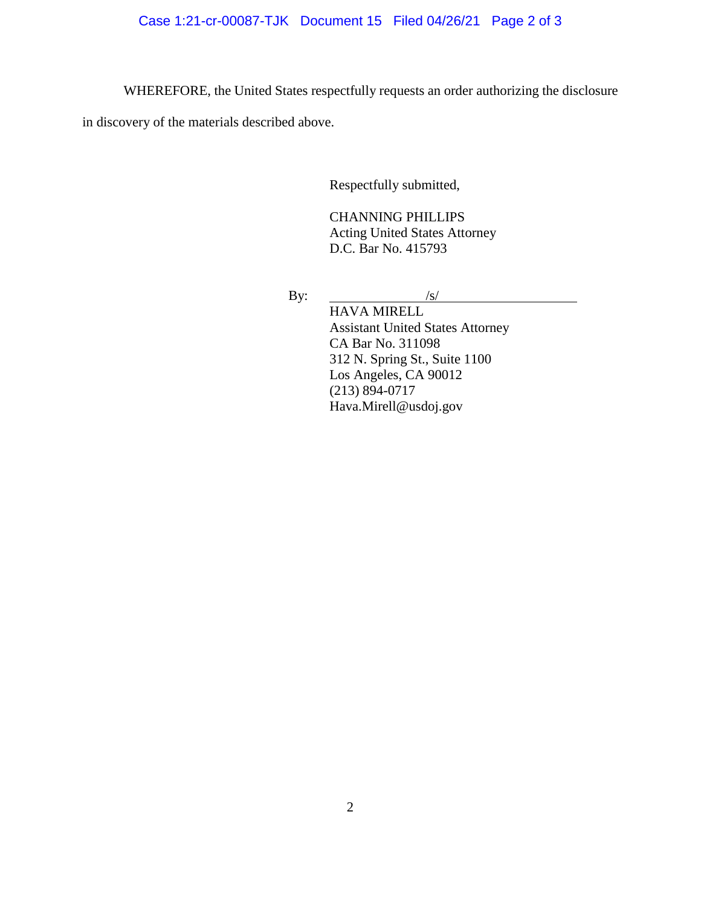WHEREFORE, the United States respectfully requests an order authorizing the disclosure

in discovery of the materials described above.

Respectfully submitted,

CHANNING PHILLIPS Acting United States Attorney D.C. Bar No. 415793

By:  $/s/$ 

HAVA MIRELL Assistant United States Attorney CA Bar No. 311098 312 N. Spring St., Suite 1100 Los Angeles, CA 90012 (213) 894-0717 Hava.Mirell@usdoj.gov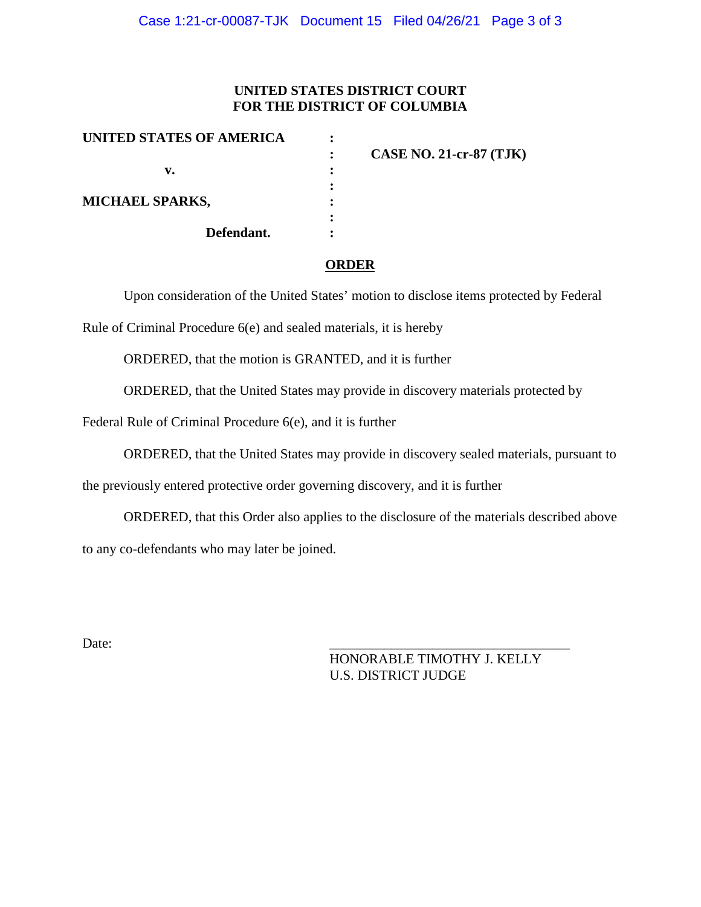## **UNITED STATES DISTRICT COURT FOR THE DISTRICT OF COLUMBIA**

| UNITED STATES OF AMERICA | <b>CASE NO. 21-cr-87 (TJK)</b> |
|--------------------------|--------------------------------|
| v.                       |                                |
| <b>MICHAEL SPARKS,</b>   |                                |
| Defendant.               |                                |

#### **ORDER**

Upon consideration of the United States' motion to disclose items protected by Federal

Rule of Criminal Procedure 6(e) and sealed materials, it is hereby

ORDERED, that the motion is GRANTED, and it is further

ORDERED, that the United States may provide in discovery materials protected by

Federal Rule of Criminal Procedure 6(e), and it is further

ORDERED, that the United States may provide in discovery sealed materials, pursuant to

the previously entered protective order governing discovery, and it is further

ORDERED, that this Order also applies to the disclosure of the materials described above to any co-defendants who may later be joined.

Date: 2008. 2010. 2010. 2010. 2010. 2010. 2010. 2010. 2010. 2010. 2010. 2010. 2010. 2010. 2010. 2010. 2010. 20

HONORABLE TIMOTHY J. KELLY U.S. DISTRICT JUDGE